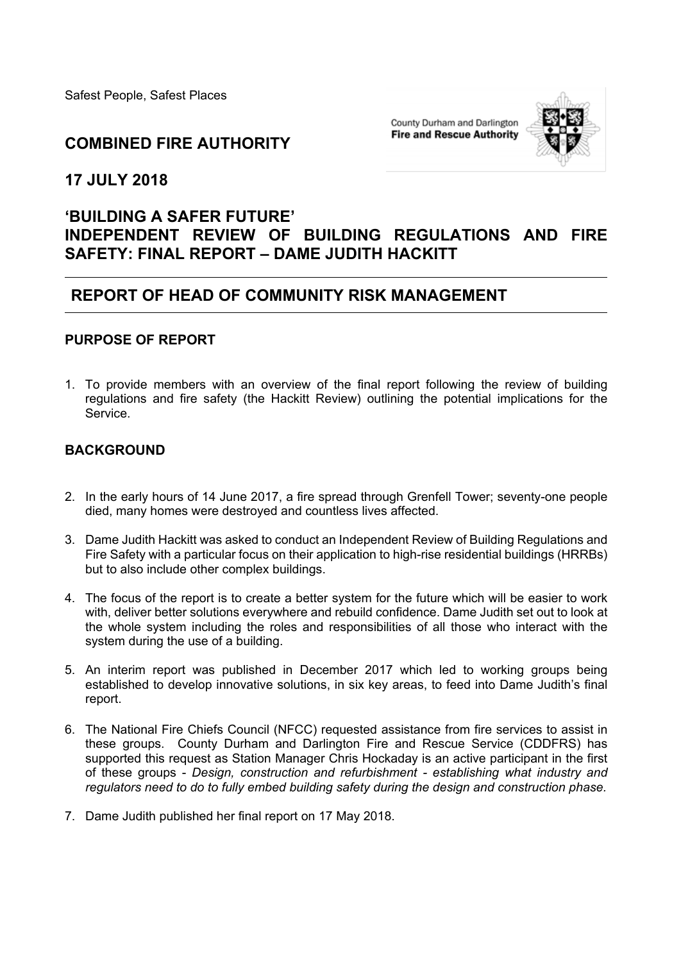Safest People, Safest Places

County Durham and Darlington **Fire and Rescue Authority** 



# **COMBINED FIRE AUTHORITY**

**17 JULY 2018**

## **'BUILDING A SAFER FUTURE' INDEPENDENT REVIEW OF BUILDING REGULATIONS AND FIRE SAFETY: FINAL REPORT – DAME JUDITH HACKITT**

# **REPORT OF HEAD OF COMMUNITY RISK MANAGEMENT**

### **PURPOSE OF REPORT**

1. To provide members with an overview of the final report following the review of building regulations and fire safety (the Hackitt Review) outlining the potential implications for the Service.

### **BACKGROUND**

- 2. In the early hours of 14 June 2017, a fire spread through Grenfell Tower; seventy-one people died, many homes were destroyed and countless lives affected.
- 3. Dame Judith Hackitt was asked to conduct an Independent Review of Building Regulations and Fire Safety with a particular focus on their application to high-rise residential buildings (HRRBs) but to also include other complex buildings.
- 4. The focus of the report is to create a better system for the future which will be easier to work with, deliver better solutions everywhere and rebuild confidence. Dame Judith set out to look at the whole system including the roles and responsibilities of all those who interact with the system during the use of a building.
- 5. An interim report was published in December 2017 which led to working groups being established to develop innovative solutions, in six key areas, to feed into Dame Judith's final report.
- 6. The National Fire Chiefs Council (NFCC) requested assistance from fire services to assist in these groups. County Durham and Darlington Fire and Rescue Service (CDDFRS) has supported this request as Station Manager Chris Hockaday is an active participant in the first of these groups - *Design, construction and refurbishment - establishing what industry and regulators need to do to fully embed building safety during the design and construction phase.*
- 7. Dame Judith published her final report on 17 May 2018.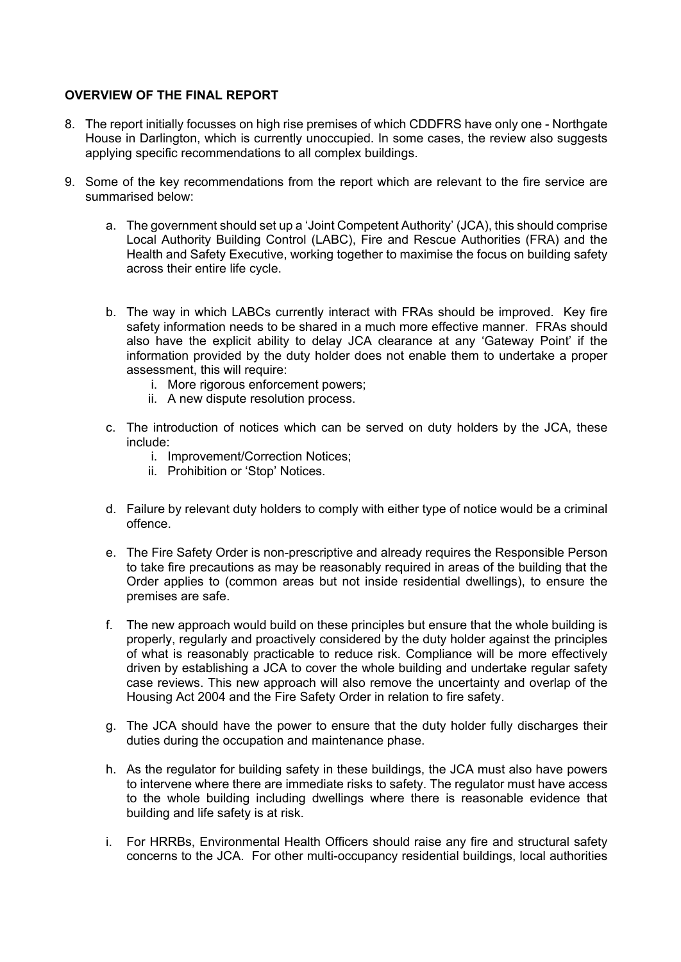### **OVERVIEW OF THE FINAL REPORT**

- 8. The report initially focusses on high rise premises of which CDDFRS have only one Northgate House in Darlington, which is currently unoccupied. In some cases, the review also suggests applying specific recommendations to all complex buildings.
- 9. Some of the key recommendations from the report which are relevant to the fire service are summarised below:
	- a. The government should set up a 'Joint Competent Authority' (JCA), this should comprise Local Authority Building Control (LABC), Fire and Rescue Authorities (FRA) and the Health and Safety Executive, working together to maximise the focus on building safety across their entire life cycle.
	- b. The way in which LABCs currently interact with FRAs should be improved. Key fire safety information needs to be shared in a much more effective manner. FRAs should also have the explicit ability to delay JCA clearance at any 'Gateway Point' if the information provided by the duty holder does not enable them to undertake a proper assessment, this will require:
		- i. More rigorous enforcement powers:
		- ii. A new dispute resolution process.
	- c. The introduction of notices which can be served on duty holders by the JCA, these include:
		- i. Improvement/Correction Notices;
		- ii. Prohibition or 'Stop' Notices.
	- d. Failure by relevant duty holders to comply with either type of notice would be a criminal offence.
	- e. The Fire Safety Order is non-prescriptive and already requires the Responsible Person to take fire precautions as may be reasonably required in areas of the building that the Order applies to (common areas but not inside residential dwellings), to ensure the premises are safe.
	- f. The new approach would build on these principles but ensure that the whole building is properly, regularly and proactively considered by the duty holder against the principles of what is reasonably practicable to reduce risk. Compliance will be more effectively driven by establishing a JCA to cover the whole building and undertake regular safety case reviews. This new approach will also remove the uncertainty and overlap of the Housing Act 2004 and the Fire Safety Order in relation to fire safety.
	- g. The JCA should have the power to ensure that the duty holder fully discharges their duties during the occupation and maintenance phase.
	- h. As the regulator for building safety in these buildings, the JCA must also have powers to intervene where there are immediate risks to safety. The regulator must have access to the whole building including dwellings where there is reasonable evidence that building and life safety is at risk.
	- i. For HRRBs, Environmental Health Officers should raise any fire and structural safety concerns to the JCA. For other multi-occupancy residential buildings, local authorities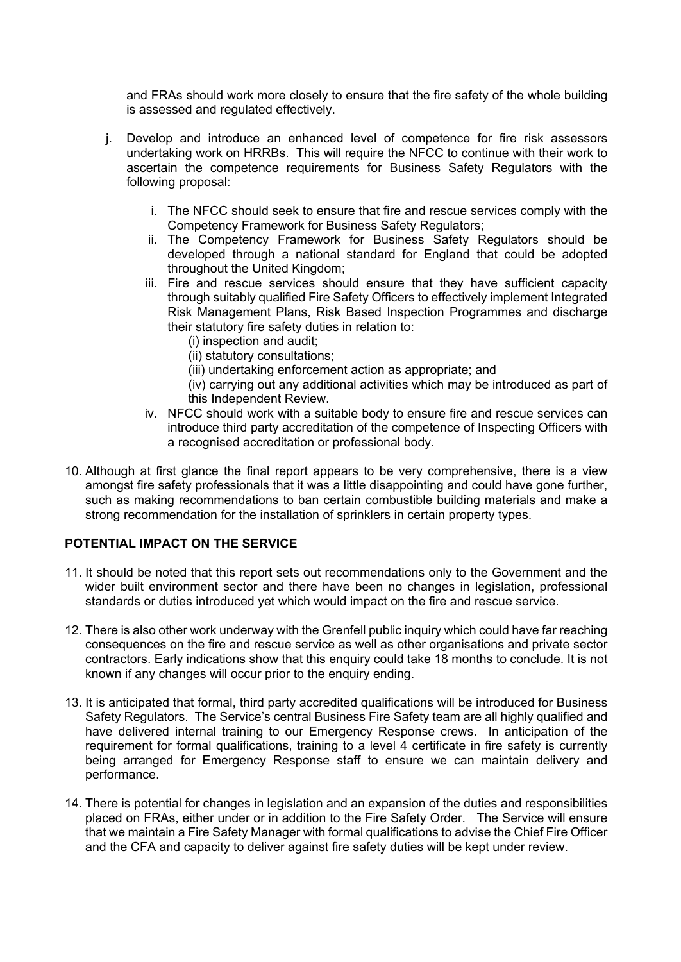and FRAs should work more closely to ensure that the fire safety of the whole building is assessed and regulated effectively.

- j. Develop and introduce an enhanced level of competence for fire risk assessors undertaking work on HRRBs. This will require the NFCC to continue with their work to ascertain the competence requirements for Business Safety Regulators with the following proposal:
	- i. The NFCC should seek to ensure that fire and rescue services comply with the Competency Framework for Business Safety Regulators;
	- ii. The Competency Framework for Business Safety Regulators should be developed through a national standard for England that could be adopted throughout the United Kingdom;
	- iii. Fire and rescue services should ensure that they have sufficient capacity through suitably qualified Fire Safety Officers to effectively implement Integrated Risk Management Plans, Risk Based Inspection Programmes and discharge their statutory fire safety duties in relation to:
		- (i) inspection and audit;
		- (ii) statutory consultations;
		- (iii) undertaking enforcement action as appropriate; and
		- (iv) carrying out any additional activities which may be introduced as part of this Independent Review.
	- iv. NFCC should work with a suitable body to ensure fire and rescue services can introduce third party accreditation of the competence of Inspecting Officers with a recognised accreditation or professional body.
- 10. Although at first glance the final report appears to be very comprehensive, there is a view amongst fire safety professionals that it was a little disappointing and could have gone further, such as making recommendations to ban certain combustible building materials and make a strong recommendation for the installation of sprinklers in certain property types.

#### **POTENTIAL IMPACT ON THE SERVICE**

- 11. It should be noted that this report sets out recommendations only to the Government and the wider built environment sector and there have been no changes in legislation, professional standards or duties introduced yet which would impact on the fire and rescue service.
- 12. There is also other work underway with the Grenfell public inquiry which could have far reaching consequences on the fire and rescue service as well as other organisations and private sector contractors. Early indications show that this enquiry could take 18 months to conclude. It is not known if any changes will occur prior to the enquiry ending.
- 13. It is anticipated that formal, third party accredited qualifications will be introduced for Business Safety Regulators. The Service's central Business Fire Safety team are all highly qualified and have delivered internal training to our Emergency Response crews. In anticipation of the requirement for formal qualifications, training to a level 4 certificate in fire safety is currently being arranged for Emergency Response staff to ensure we can maintain delivery and performance.
- 14. There is potential for changes in legislation and an expansion of the duties and responsibilities placed on FRAs, either under or in addition to the Fire Safety Order. The Service will ensure that we maintain a Fire Safety Manager with formal qualifications to advise the Chief Fire Officer and the CFA and capacity to deliver against fire safety duties will be kept under review.